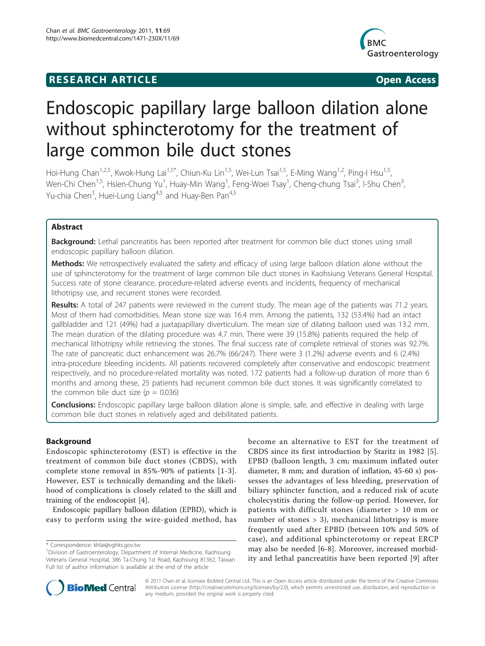## **RESEARCH ARTICLE Example 2014 CONSUMING ACCESS**



# Endoscopic papillary large balloon dilation alone without sphincterotomy for the treatment of large common bile duct stones

Hoi-Hung Chan<sup>1,2,5</sup>, Kwok-Hung Lai<sup>1,5\*</sup>, Chiun-Ku Lin<sup>1,5</sup>, Wei-Lun Tsai<sup>1,5</sup>, E-Ming Wang<sup>1,2</sup>, Ping-I Hsu<sup>1,5</sup>, Wen-Chi Chen<sup>1,5</sup>, Hsien-Chung Yu<sup>1</sup>, Huay-Min Wang<sup>1</sup>, Feng-Woei Tsay<sup>1</sup>, Cheng-chung Tsai<sup>3</sup>, I-Shu Chen<sup>3</sup> , Yu-chia Chen<sup>3</sup>, Huei-Lung Liang<sup>4,5</sup> and Huay-Ben Pan<sup>4,5</sup>

## Abstract

Background: Lethal pancreatitis has been reported after treatment for common bile duct stones using small endoscopic papillary balloon dilation.

Methods: We retrospectively evaluated the safety and efficacy of using large balloon dilation alone without the use of sphincterotomy for the treatment of large common bile duct stones in Kaohsiung Veterans General Hospital. Success rate of stone clearance, procedure-related adverse events and incidents, frequency of mechanical lithotripsy use, and recurrent stones were recorded.

Results: A total of 247 patients were reviewed in the current study. The mean age of the patients was 71.2 years. Most of them had comorbidities. Mean stone size was 16.4 mm. Among the patients, 132 (53.4%) had an intact gallbladder and 121 (49%) had a juxtapapillary diverticulum. The mean size of dilating balloon used was 13.2 mm. The mean duration of the dilating procedure was 4.7 min. There were 39 (15.8%) patients required the help of mechanical lithotripsy while retrieving the stones. The final success rate of complete retrieval of stones was 92.7%. The rate of pancreatic duct enhancement was 26.7% (66/247). There were 3 (1.2%) adverse events and 6 (2.4%) intra-procedure bleeding incidents. All patients recovered completely after conservative and endoscopic treatment respectively, and no procedure-related mortality was noted. 172 patients had a follow-up duration of more than 6 months and among these, 25 patients had recurrent common bile duct stones. It was significantly correlated to the common bile duct size ( $p = 0.036$ )

**Conclusions:** Endoscopic papillary large balloon dilation alone is simple, safe, and effective in dealing with large common bile duct stones in relatively aged and debilitated patients.

## **Background**

Endoscopic sphincterotomy (EST) is effective in the treatment of common bile duct stones (CBDS), with complete stone removal in 85%-90% of patients [[1](#page-4-0)-[3\]](#page-4-0). However, EST is technically demanding and the likelihood of complications is closely related to the skill and training of the endoscopist [\[4](#page-4-0)].

Endoscopic papillary balloon dilation (EPBD), which is easy to perform using the wire-guided method, has become an alternative to EST for the treatment of CBDS since its first introduction by Staritz in 1982 [[5](#page-4-0)]. EPBD (balloon length, 3 cm; maximum inflated outer diameter, 8 mm; and duration of inflation, 45-60 s) possesses the advantages of less bleeding, preservation of biliary sphincter function, and a reduced risk of acute cholecystitis during the follow-up period. However, for patients with difficult stones (diameter > 10 mm or number of stones > 3), mechanical lithotripsy is more frequently used after EPBD (between 10% and 50% of case), and additional sphincterotomy or repeat ERCP may also be needed [[6-8\]](#page-4-0). Moreover, increased morbidity and lethal pancreatitis have been reported [\[9\]](#page-4-0) after



© 2011 Chan et al; licensee BioMed Central Ltd. This is an Open Access article distributed under the terms of the Creative Commons Attribution License [\(http://creativecommons.org/licenses/by/2.0](http://creativecommons.org/licenses/by/2.0)), which permits unrestricted use, distribution, and reproduction in any medium, provided the original work is properly cited.

<sup>\*</sup> Correspondence: [khlai@vghks.gov.tw](mailto:khlai@vghks.gov.tw)

<sup>&</sup>lt;sup>1</sup> Division of Gastroenterology, Department of Internal Medicine, Kaohsiung Veterans General Hospital, 386 Ta-Chung 1st Road, Kaohsiung 81362, Taiwan Full list of author information is available at the end of the article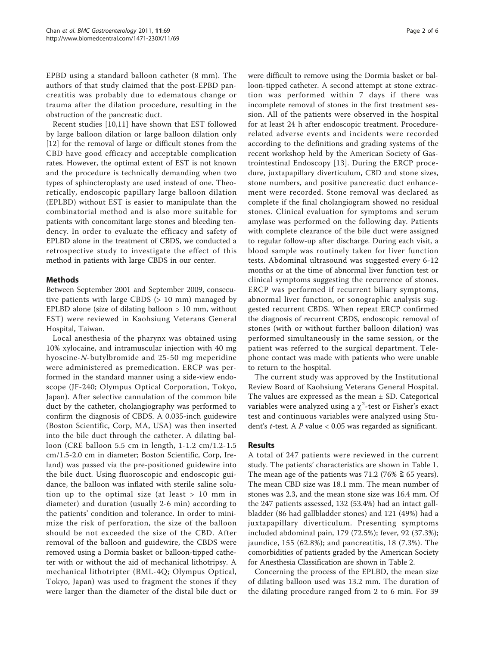EPBD using a standard balloon catheter (8 mm). The authors of that study claimed that the post-EPBD pancreatitis was probably due to edematous change or trauma after the dilation procedure, resulting in the obstruction of the pancreatic duct.

Recent studies [\[10](#page-4-0),[11\]](#page-4-0) have shown that EST followed by large balloon dilation or large balloon dilation only [[12\]](#page-4-0) for the removal of large or difficult stones from the CBD have good efficacy and acceptable complication rates. However, the optimal extent of EST is not known and the procedure is technically demanding when two types of sphincteroplasty are used instead of one. Theoretically, endoscopic papillary large balloon dilation (EPLBD) without EST is easier to manipulate than the combinatorial method and is also more suitable for patients with concomitant large stones and bleeding tendency. In order to evaluate the efficacy and safety of EPLBD alone in the treatment of CBDS, we conducted a retrospective study to investigate the effect of this method in patients with large CBDS in our center.

## Methods

Between September 2001 and September 2009, consecutive patients with large CBDS (> 10 mm) managed by EPLBD alone (size of dilating balloon  $> 10$  mm, without EST) were reviewed in Kaohsiung Veterans General Hospital, Taiwan.

Local anesthesia of the pharynx was obtained using 10% xylocaine, and intramuscular injection with 40 mg hyoscine-N-butylbromide and 25-50 mg meperidine were administered as premedication. ERCP was performed in the standard manner using a side-view endoscope (JF-240; Olympus Optical Corporation, Tokyo, Japan). After selective cannulation of the common bile duct by the catheter, cholangiography was performed to confirm the diagnosis of CBDS. A 0.035-inch guidewire (Boston Scientific, Corp, MA, USA) was then inserted into the bile duct through the catheter. A dilating balloon (CRE balloon 5.5 cm in length, 1-1.2 cm/1.2-1.5 cm/1.5-2.0 cm in diameter; Boston Scientific, Corp, Ireland) was passed via the pre-positioned guidewire into the bile duct. Using fluoroscopic and endoscopic guidance, the balloon was inflated with sterile saline solution up to the optimal size (at least > 10 mm in diameter) and duration (usually 2-6 min) according to the patients' condition and tolerance. In order to minimize the risk of perforation, the size of the balloon should be not exceeded the size of the CBD. After removal of the balloon and guidewire, the CBDS were removed using a Dormia basket or balloon-tipped catheter with or without the aid of mechanical lithotripsy. A mechanical lithotripter (BML-4Q; Olympus Optical, Tokyo, Japan) was used to fragment the stones if they were larger than the diameter of the distal bile duct or

were difficult to remove using the Dormia basket or balloon-tipped catheter. A second attempt at stone extraction was performed within 7 days if there was incomplete removal of stones in the first treatment session. All of the patients were observed in the hospital for at least 24 h after endoscopic treatment. Procedurerelated adverse events and incidents were recorded according to the definitions and grading systems of the recent workshop held by the American Society of Gastrointestinal Endoscopy [[13](#page-4-0)]. During the ERCP procedure, juxtapapillary diverticulum, CBD and stone sizes, stone numbers, and positive pancreatic duct enhancement were recorded. Stone removal was declared as complete if the final cholangiogram showed no residual stones. Clinical evaluation for symptoms and serum amylase was performed on the following day. Patients with complete clearance of the bile duct were assigned to regular follow-up after discharge. During each visit, a blood sample was routinely taken for liver function tests. Abdominal ultrasound was suggested every 6-12 months or at the time of abnormal liver function test or clinical symptoms suggesting the recurrence of stones. ERCP was performed if recurrent biliary symptoms, abnormal liver function, or sonographic analysis suggested recurrent CBDS. When repeat ERCP confirmed the diagnosis of recurrent CBDS, endoscopic removal of stones (with or without further balloon dilation) was performed simultaneously in the same session, or the patient was referred to the surgical department. Telephone contact was made with patients who were unable to return to the hospital.

The current study was approved by the Institutional Review Board of Kaohsiung Veterans General Hospital. The values are expressed as the mean ± SD. Categorical variables were analyzed using a  $\chi^2$ -test or Fisher's exact test and continuous variables were analyzed using Student's t-test. A P value < 0.05 was regarded as significant.

## Results

A total of 247 patients were reviewed in the current study. The patients' characteristics are shown in Table [1](#page-2-0). The mean age of the patients was 71.2 (76%  $\geq$  65 years). The mean CBD size was 18.1 mm. The mean number of stones was 2.3, and the mean stone size was 16.4 mm. Of the 247 patients assessed, 132 (53.4%) had an intact gallbladder (86 had gallbladder stones) and 121 (49%) had a juxtapapillary diverticulum. Presenting symptoms included abdominal pain, 179 (72.5%); fever, 92 (37.3%); jaundice, 155 (62.8%); and pancreatitis, 18 (7.3%). The comorbidities of patients graded by the American Society for Anesthesia Classification are shown in Table [2.](#page-2-0)

Concerning the process of the EPLBD, the mean size of dilating balloon used was 13.2 mm. The duration of the dilating procedure ranged from 2 to 6 min. For 39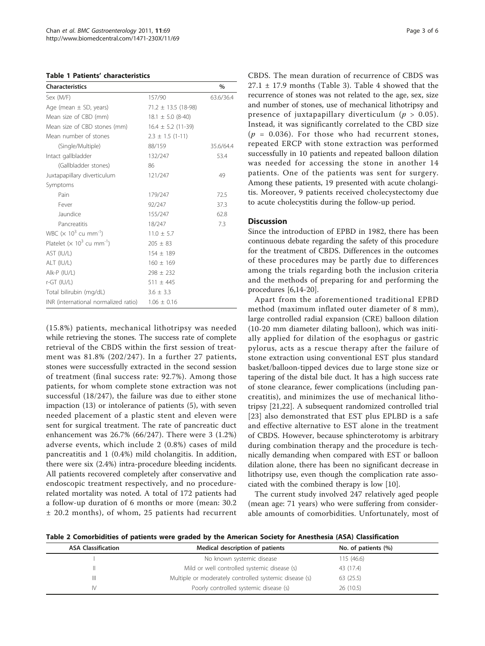<span id="page-2-0"></span>

| <b>Characteristics</b>                                    |                         | $\%$      |
|-----------------------------------------------------------|-------------------------|-----------|
| Sex (M/F)                                                 | 157/90                  | 63.6/36.4 |
| Age (mean $\pm$ SD, years)                                | $71.2 \pm 13.5$ (18-98) |           |
| Mean size of CBD (mm)                                     | $18.1 \pm 5.0$ (8-40)   |           |
| Mean size of CBD stones (mm)                              | $16.4 \pm 5.2$ (11-39)  |           |
| Mean number of stones                                     | $2.3 \pm 1.5$ (1-11)    |           |
| (Single/Multiple)                                         | 88/159                  | 35.6/64.4 |
| Intact gallbladder                                        | 132/247                 | 53.4      |
| (Gallbladder stones)                                      | 86                      |           |
| Juxtapapillary diverticulum                               | 121/247                 | 49        |
| Symptoms                                                  |                         |           |
| Pain                                                      | 179/247                 | 72.5      |
| Fever                                                     | 92/247                  | 37.3      |
| Jaundice                                                  | 155/247                 | 62.8      |
| Pancreatitis                                              | 18/247                  | 7.3       |
| WBC $(x 10^3$ cu mm <sup>-1</sup> )                       | $11.0 \pm 5.7$          |           |
| Platelet ( $\times$ 10 <sup>3</sup> cu mm <sup>-1</sup> ) | $205 \pm 83$            |           |
| AST (IU/L)                                                | $154 \pm 189$           |           |
| ALT (IU/L)                                                | $160 \pm 169$           |           |
| Alk-P (IU/L)                                              | $298 \pm 232$           |           |
| $r$ -GT $(IV/L)$                                          | $511 \pm 445$           |           |
| Total bilirubin (mg/dL)                                   | $3.6 \pm 3.3$           |           |
| INR (international normalized ratio)                      | $1.06 \pm 0.16$         |           |

(15.8%) patients, mechanical lithotripsy was needed while retrieving the stones. The success rate of complete retrieval of the CBDS within the first session of treatment was 81.8% (202/247). In a further 27 patients, stones were successfully extracted in the second session of treatment (final success rate: 92.7%). Among those patients, for whom complete stone extraction was not successful (18/247), the failure was due to either stone impaction (13) or intolerance of patients (5), with seven needed placement of a plastic stent and eleven were sent for surgical treatment. The rate of pancreatic duct enhancement was 26.7% (66/247). There were 3 (1.2%) adverse events, which include 2 (0.8%) cases of mild pancreatitis and 1 (0.4%) mild cholangitis. In addition, there were six (2.4%) intra-procedure bleeding incidents. All patients recovered completely after conservative and endoscopic treatment respectively, and no procedurerelated mortality was noted. A total of 172 patients had a follow-up duration of 6 months or more (mean: 30.2 ± 20.2 months), of whom, 25 patients had recurrent CBDS. The mean duration of recurrence of CBDS was  $27.1 \pm 17.9$  months (Table [3](#page-3-0)). Table [4](#page-3-0) showed that the recurrence of stones was not related to the age, sex, size and number of stones, use of mechanical lithotripsy and presence of juxtapapillary diverticulum ( $p > 0.05$ ). Instead, it was significantly correlated to the CBD size  $(p = 0.036)$ . For those who had recurrent stones, repeated ERCP with stone extraction was performed successfully in 10 patients and repeated balloon dilation was needed for accessing the stone in another 14 patients. One of the patients was sent for surgery. Among these patients, 19 presented with acute cholangitis. Moreover, 9 patients received cholecystectomy due to acute cholecystitis during the follow-up period.

## **Discussion**

Since the introduction of EPBD in 1982, there has been continuous debate regarding the safety of this procedure for the treatment of CBDS. Differences in the outcomes of these procedures may be partly due to differences among the trials regarding both the inclusion criteria and the methods of preparing for and performing the procedures [\[6,14-20](#page-4-0)].

Apart from the aforementioned traditional EPBD method (maximum inflated outer diameter of 8 mm), large controlled radial expansion (CRE) balloon dilation (10-20 mm diameter dilating balloon), which was initially applied for dilation of the esophagus or gastric pylorus, acts as a rescue therapy after the failure of stone extraction using conventional EST plus standard basket/balloon-tipped devices due to large stone size or tapering of the distal bile duct. It has a high success rate of stone clearance, fewer complications (including pancreatitis), and minimizes the use of mechanical lithotripsy [\[21,22](#page-4-0)]. A subsequent randomized controlled trial [[23](#page-4-0)] also demonstrated that EST plus EPLBD is a safe and effective alternative to EST alone in the treatment of CBDS. However, because sphincterotomy is arbitrary during combination therapy and the procedure is technically demanding when compared with EST or balloon dilation alone, there has been no significant decrease in lithotripsy use, even though the complication rate associated with the combined therapy is low [[10](#page-4-0)].

The current study involved 247 relatively aged people (mean age: 71 years) who were suffering from considerable amounts of comorbidities. Unfortunately, most of

Table 2 Comorbidities of patients were graded by the American Society for Anesthesia (ASA) Classification

| <b>ASA Classification</b> | Medical description of patients                        | No. of patients (%) |  |
|---------------------------|--------------------------------------------------------|---------------------|--|
|                           | No known systemic disease                              | 115 (46.6)          |  |
|                           | Mild or well controlled systemic disease (s)           | 43 (17.4)           |  |
| Ш                         | Multiple or moderately controlled systemic disease (s) | 63 (25.5)           |  |
| IV.                       | Poorly controlled systemic disease (s)                 | 26 (10.5)           |  |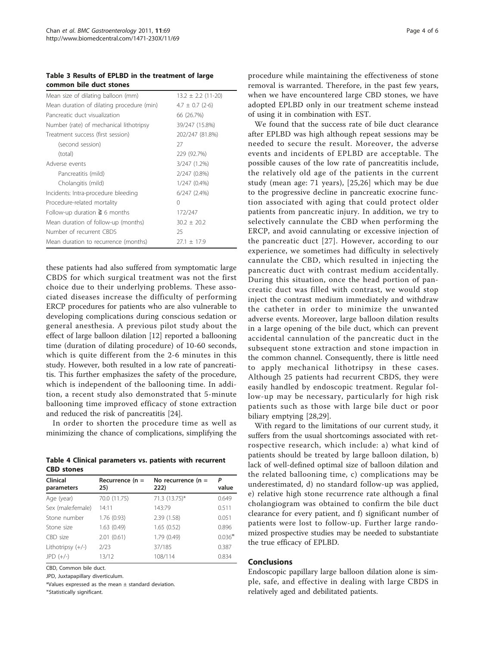<span id="page-3-0"></span>Table 3 Results of EPLBD in the treatment of large common bile duct stones

| Mean size of dilating balloon (mm)        | $13.2 \pm 2.2$ (11-20) |
|-------------------------------------------|------------------------|
| Mean duration of dilating procedure (min) | $4.7 \pm 0.7$ (2-6)    |
| Pancreatic duct visualization             | 66 (26.7%)             |
| Number (rate) of mechanical lithotripsy   | 39/247 (15.8%)         |
| Treatment success (first session)         | 202/247 (81.8%)        |
| (second session)                          | 27                     |
| (total)                                   | 229 (92.7%)            |
| Adverse events                            | 3/247 (1.2%)           |
| Pancreatitis (mild)                       | 2/247 (0.8%)           |
| Cholangitis (mild)                        | $1/247(0.4\%)$         |
| Incidents: Intra-procedure bleeding       | $6/247$ $(2.4\%)$      |
| Procedure-related mortality               | 0                      |
| Follow-up duration $\geq 6$ months        | 172/247                |
| Mean duration of follow-up (months)       | $30.2 \pm 20.2$        |
| Number of recurrent CBDS                  | 25                     |
| Mean duration to recurrence (months)      | $27.1 + 17.9$          |

these patients had also suffered from symptomatic large CBDS for which surgical treatment was not the first choice due to their underlying problems. These associated diseases increase the difficulty of performing ERCP procedures for patients who are also vulnerable to developing complications during conscious sedation or general anesthesia. A previous pilot study about the effect of large balloon dilation [\[12](#page-4-0)] reported a ballooning time (duration of dilating procedure) of 10-60 seconds, which is quite different from the 2-6 minutes in this study. However, both resulted in a low rate of pancreatitis. This further emphasizes the safety of the procedure, which is independent of the ballooning time. In addition, a recent study also demonstrated that 5-minute ballooning time improved efficacy of stone extraction and reduced the risk of pancreatitis [\[24\]](#page-4-0).

In order to shorten the procedure time as well as minimizing the chance of complications, simplifying the

Table 4 Clinical parameters vs. patients with recurrent CBD stones

| Clinical<br>parameters | Recurrence $(n =$<br>25) | No recurrence ( $n =$<br>222) | P<br>value |
|------------------------|--------------------------|-------------------------------|------------|
| Age (year)             | 70.0 (11.75)             | 71.3 (13.75)*                 | 0.649      |
| Sex (male:female)      | 14:11                    | 143:79                        | 0.511      |
| Stone number           | 1.76 (0.93)              | 2.39 (1.58)                   | 0.051      |
| Stone size             | 1.63(0.49)               | 1.65(0.52)                    | 0.896      |
| CBD size               | 2.01(0.61)               | 1.79(0.49)                    | $0.036*$   |
| Lithotripsy $(+/-)$    | 2/23                     | 37/185                        | 0.387      |
| $JPD (+/-)$            | 13/12                    | 108/114                       | 0.834      |
|                        |                          |                               |            |

CBD, Common bile duct.

JPD, Juxtapapillary diverticulum.

\*Values expressed as the mean  $\pm$  standard deviation.

⋇ Statistically significant.

procedure while maintaining the effectiveness of stone removal is warranted. Therefore, in the past few years, when we have encountered large CBD stones, we have adopted EPLBD only in our treatment scheme instead of using it in combination with EST.

We found that the success rate of bile duct clearance after EPLBD was high although repeat sessions may be needed to secure the result. Moreover, the adverse events and incidents of EPLBD are acceptable. The possible causes of the low rate of pancreatitis include, the relatively old age of the patients in the current study (mean age: 71 years), [[25,26\]](#page-4-0) which may be due to the progressive decline in pancreatic exocrine function associated with aging that could protect older patients from pancreatic injury. In addition, we try to selectively cannulate the CBD when performing the ERCP, and avoid cannulating or excessive injection of the pancreatic duct [[27](#page-4-0)]. However, according to our experience, we sometimes had difficulty in selectively cannulate the CBD, which resulted in injecting the pancreatic duct with contrast medium accidentally. During this situation, once the head portion of pancreatic duct was filled with contrast, we would stop inject the contrast medium immediately and withdraw the catheter in order to minimize the unwanted adverse events. Moreover, large balloon dilation results in a large opening of the bile duct, which can prevent accidental cannulation of the pancreatic duct in the subsequent stone extraction and stone impaction in the common channel. Consequently, there is little need to apply mechanical lithotripsy in these cases. Although 25 patients had recurrent CBDS, they were easily handled by endoscopic treatment. Regular follow-up may be necessary, particularly for high risk patients such as those with large bile duct or poor biliary emptying [\[28](#page-4-0)[,29](#page-5-0)].

With regard to the limitations of our current study, it suffers from the usual shortcomings associated with retrospective research, which include: a) what kind of patients should be treated by large balloon dilation, b) lack of well-defined optimal size of balloon dilation and the related ballooning time, c) complications may be underestimated, d) no standard follow-up was applied, e) relative high stone recurrence rate although a final cholangiogram was obtained to confirm the bile duct clearance for every patient, and f) significant number of patients were lost to follow-up. Further large randomized prospective studies may be needed to substantiate the true efficacy of EPLBD.

### Conclusions

Endoscopic papillary large balloon dilation alone is simple, safe, and effective in dealing with large CBDS in relatively aged and debilitated patients.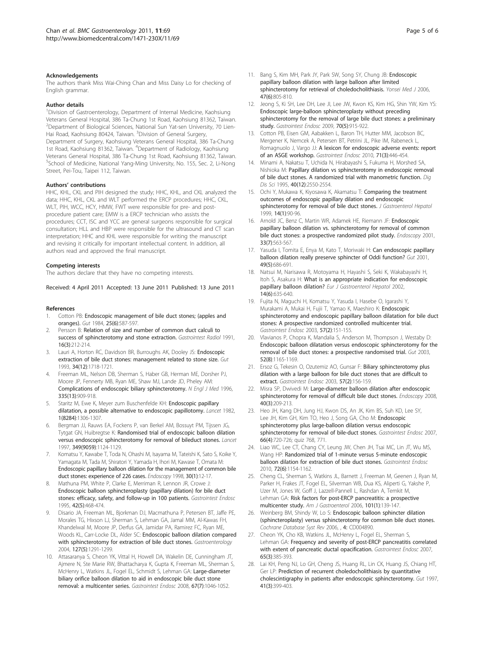#### <span id="page-4-0"></span>Acknowledgements

The authors thank Miss Wai-Ching Chan and Miss Daisy Lo for checking of English grammar.

#### Author details

<sup>1</sup> Division of Gastroenterology, Department of Internal Medicine, Kaohsiung Veterans General Hospital, 386 Ta-Chung 1st Road, Kaohsiung 81362, Taiwan. 2 Department of Biological Sciences, National Sun Yat-sen University, 70 Lien-Hai Road, Kaohsiung 80424, Taiwan. <sup>3</sup>Division of General Surgery, Department of Surgery, Kaohsiung Veterans General Hospital, 386 Ta-Chung 1st Road, Kaohsiung 81362, Taiwan. <sup>4</sup>Department of Radiology, Kaohsiung Veterans General Hospital, 386 Ta-Chung 1st Road, Kaohsiung 81362, Taiwan. <sup>5</sup>School of Medicine, National Yang-Ming University, No. 155, Sec. 2, Li-Nong Street, Pei-Tou, Taipei 112, Taiwan.

#### Authors' contributions

HHC, KHL, CKL and PIH designed the study; HHC, KHL, and CKL analyzed the data; HHC, KHL, CKL and WLT performed the ERCP procedures; HHC, CKL, WLT, PIH, WCC, HCY, HMW, FWT were responsible for pre- and postprocedure patient care; EMW is a ERCP technician who assists the procedures; CCT, ISC and YCC are general surgeons responsible for surgical consultation; HLL and HBP were responsible for the ultrasound and CT scan interpretation; HHC and KHL were responsible for writing the manuscript and revising it critically for important intellectual content. In addition, all authors read and approved the final manuscript.

#### Competing interests

The authors declare that they have no competing interests.

Received: 4 April 2011 Accepted: 13 June 2011 Published: 13 June 2011

#### References

- 1. Cotton PB: [Endoscopic management of bile duct stones; \(apples and](http://www.ncbi.nlm.nih.gov/pubmed/6376290?dopt=Abstract) [oranges\).](http://www.ncbi.nlm.nih.gov/pubmed/6376290?dopt=Abstract) Gut 1984, 25(6):587-597.
- Persson B: [Relation of size and number of common duct calculi to](http://www.ncbi.nlm.nih.gov/pubmed/1879635?dopt=Abstract) [success of sphincterotomy and stone extraction.](http://www.ncbi.nlm.nih.gov/pubmed/1879635?dopt=Abstract) Gastrointest Radiol 1991, 16(3):212-214.
- 3. Lauri A, Horton RC, Davidson BR, Burroughs AK, Dooley JS: [Endoscopic](http://www.ncbi.nlm.nih.gov/pubmed/8282260?dopt=Abstract) [extraction of bile duct stones: management related to stone size.](http://www.ncbi.nlm.nih.gov/pubmed/8282260?dopt=Abstract) Gut 1993, 34(12):1718-1721.
- 4. Freeman ML, Nelson DB, Sherman S, Haber GB, Herman ME, Dorsher PJ, Moore JP, Fennerty MB, Ryan ME, Shaw MJ, Lande JD, Pheley AM: [Complications of endoscopic biliary sphincterotomy.](http://www.ncbi.nlm.nih.gov/pubmed/8782497?dopt=Abstract) N Engl J Med 1996, 335(13):909-918.
- Staritz M, Ewe K, Meyer zum Buschenfelde KH: [Endoscopic papillary](http://www.ncbi.nlm.nih.gov/pubmed/6123047?dopt=Abstract) [dilatation, a possible alternative to endoscopic papillotomy.](http://www.ncbi.nlm.nih.gov/pubmed/6123047?dopt=Abstract) Lancet 1982, 1(8284):1306-1307.
- 6. Bergman JJ, Rauws EA, Fockens P, van Berkel AM, Bossuyt PM, Tijssen JG, Tytgat GN, Huibregtse K: [Randomised trial of endoscopic balloon dilation](http://www.ncbi.nlm.nih.gov/pubmed/9113010?dopt=Abstract) [versus endoscopic sphincterotomy for removal of bileduct stones.](http://www.ncbi.nlm.nih.gov/pubmed/9113010?dopt=Abstract) Lancet 1997, 349(9059):1124-1129.
- Komatsu Y, Kawabe T, Toda N, Ohashi M, Isayama M, Tateishi K, Sato S, Koike Y, Yamagata M, Tada M, Shiratori Y, Yamada H, Ihori M, Kawase T, Omata M: [Endoscopic papillary balloon dilation for the management of common bile](http://www.ncbi.nlm.nih.gov/pubmed/9548037?dopt=Abstract) [duct stones: experience of 226 cases.](http://www.ncbi.nlm.nih.gov/pubmed/9548037?dopt=Abstract) Endoscopy 1998, 30(1):12-17.
- 8. Mathuna PM, White P, Clarke E, Merriman R, Lennon JR, Crowe J: [Endoscopic balloon sphincteroplasty \(papillary dilation\) for bile duct](http://www.ncbi.nlm.nih.gov/pubmed/8566640?dopt=Abstract) [stones: efficacy, safety, and follow-up in 100 patients.](http://www.ncbi.nlm.nih.gov/pubmed/8566640?dopt=Abstract) Gastrointest Endosc 1995, 42(5):468-474.
- Disario JA, Freeman ML, Bjorkman DJ, Macmathuna P, Petersen BT, Jaffe PE, Morales TG, Hixson LJ, Sherman S, Lehman GA, Jamal MM, Al-Kawas FH, Khandelwal M, Moore JP, Derfus GA, Jamidar PA, Ramirez FC, Ryan ME, Woods KL, Carr-Locke DL, Alder SC: [Endoscopic balloon dilation compared](http://www.ncbi.nlm.nih.gov/pubmed/15520997?dopt=Abstract) [with sphincterotomy for extraction of bile duct stones.](http://www.ncbi.nlm.nih.gov/pubmed/15520997?dopt=Abstract) Gastroenterology 2004, 127(5):1291-1299.
- 10. Attasaranya S, Cheon YK, Vittal H, Howell DA, Wakelin DE, Cunningham JT, Ajmere N, Ste Marie RW, Bhattacharya K, Gupta K, Freeman ML, Sherman S, McHenry L, Watkins JL, Fogel EL, Schmidt S, Lehman GA: [Large-diameter](http://www.ncbi.nlm.nih.gov/pubmed/18178208?dopt=Abstract) [biliary orifice balloon dilation to aid in endoscopic bile duct stone](http://www.ncbi.nlm.nih.gov/pubmed/18178208?dopt=Abstract) [removal: a multicenter series.](http://www.ncbi.nlm.nih.gov/pubmed/18178208?dopt=Abstract) Gastrointest Endosc 2008, 67(7):1046-1052.
- 11. Bang S, Kim MH, Park JY, Park SW, Song SY, Chung JB: [Endoscopic](http://www.ncbi.nlm.nih.gov/pubmed/17191309?dopt=Abstract) [papillary balloon dilation with large balloon after limited](http://www.ncbi.nlm.nih.gov/pubmed/17191309?dopt=Abstract) [sphincterotomy for retrieval of choledocholithiasis.](http://www.ncbi.nlm.nih.gov/pubmed/17191309?dopt=Abstract) Yonsei Med J 2006, 47(6):805-810.
- 12. Jeong S, Ki SH, Lee DH, Lee JI, Lee JW, Kwon KS, Kim HG, Shin YW, Kim YS: [Endoscopic large-balloon sphincteroplasty without preceding](http://www.ncbi.nlm.nih.gov/pubmed/19647241?dopt=Abstract) [sphincterotomy for the removal of large bile duct stones: a preliminary](http://www.ncbi.nlm.nih.gov/pubmed/19647241?dopt=Abstract) [study.](http://www.ncbi.nlm.nih.gov/pubmed/19647241?dopt=Abstract) Gastrointest Endosc 2009, 70(5):915-922.
- 13. Cotton PB, Eisen GM, Aabakken L, Baron TH, Hutter MM, Jacobson BC, Mergener K, Nemcek A, Petersen BT, Petrini JL, Pike IM, Rabeneck L, Romagnuolo J, Vargo JJ: [A lexicon for endoscopic adverse events: report](http://www.ncbi.nlm.nih.gov/pubmed/20189503?dopt=Abstract) [of an ASGE workshop.](http://www.ncbi.nlm.nih.gov/pubmed/20189503?dopt=Abstract) Gastrointest Endosc 2010, 71(3):446-454.
- 14. Minami A, Nakatsu T, Uchida N, Hirabayashi S, Fukuma H, Morshed SA, Nishioka M: [Papillary dilation vs sphincterotomy in endoscopic removal](http://www.ncbi.nlm.nih.gov/pubmed/8536511?dopt=Abstract) [of bile duct stones. A randomized trial with manometric function.](http://www.ncbi.nlm.nih.gov/pubmed/8536511?dopt=Abstract) Dig Dis Sci 1995, 40(12):2550-2554.
- 15. Ochi Y, Mukawa K, Kiyosawa K, Akamatsu T: [Comparing the treatment](http://www.ncbi.nlm.nih.gov/pubmed/10029284?dopt=Abstract) [outcomes of endoscopic papillary dilation and endoscopic](http://www.ncbi.nlm.nih.gov/pubmed/10029284?dopt=Abstract) [sphincterotomy for removal of bile duct stones.](http://www.ncbi.nlm.nih.gov/pubmed/10029284?dopt=Abstract) J Gastroenterol Hepatol 1999, 14(1):90-96
- 16. Arnold JC, Benz C, Martin WR, Adamek HE, Riemann JF: [Endoscopic](http://www.ncbi.nlm.nih.gov/pubmed/11473325?dopt=Abstract) [papillary balloon dilation vs. sphincterotomy for removal of common](http://www.ncbi.nlm.nih.gov/pubmed/11473325?dopt=Abstract) [bile duct stones: a prospective randomized pilot study.](http://www.ncbi.nlm.nih.gov/pubmed/11473325?dopt=Abstract) Endoscopy 2001, 33(7):563-567.
- 17. Yasuda I, Tomita E, Enya M, Kato T, Moriwaki H; [Can endoscopic papillary](http://www.ncbi.nlm.nih.gov/pubmed/11600473?dopt=Abstract) [balloon dilation really preserve sphincter of Oddi function?](http://www.ncbi.nlm.nih.gov/pubmed/11600473?dopt=Abstract) Gut 2001, 49(5):686-691.
- 18. Natsui M, Narisawa R, Motoyama H, Hayashi S, Seki K, Wakabayashi H, Itoh S, Asakura H: [What is an appropriate indication for endoscopic](http://www.ncbi.nlm.nih.gov/pubmed/12072597?dopt=Abstract) [papillary balloon dilation?](http://www.ncbi.nlm.nih.gov/pubmed/12072597?dopt=Abstract) Eur J Gastroenterol Hepatol 2002, 14(6):635-640.
- 19. Fujita N, Maguchi H, Komatsu Y, Yasuda I, Hasebe O, Igarashi Y, Murakami A, Mukai H, Fujii T, Yamao K, Maeshiro K: [Endoscopic](http://www.ncbi.nlm.nih.gov/pubmed/12556774?dopt=Abstract) [sphincterotomy and endoscopic papillary balloon dilatation for bile duct](http://www.ncbi.nlm.nih.gov/pubmed/12556774?dopt=Abstract) [stones: A prospective randomized controlled multicenter trial.](http://www.ncbi.nlm.nih.gov/pubmed/12556774?dopt=Abstract) Gastrointest Endosc 2003, 57(2):151-155.
- 20. Vlavianos P, Chopra K, Mandalia S, Anderson M, Thompson J, Westaby D: [Endoscopic balloon dilatation versus endoscopic sphincterotomy for the](http://www.ncbi.nlm.nih.gov/pubmed/12865276?dopt=Abstract) [removal of bile duct stones: a prospective randomised trial.](http://www.ncbi.nlm.nih.gov/pubmed/12865276?dopt=Abstract) Gut 2003, 52(8):1165-1169.
- 21. Ersoz G, Tekesin O, Ozutemiz AO, Gunsar F: [Biliary sphincterotomy plus](http://www.ncbi.nlm.nih.gov/pubmed/12556775?dopt=Abstract) [dilation with a large balloon for bile duct stones that are difficult to](http://www.ncbi.nlm.nih.gov/pubmed/12556775?dopt=Abstract) [extract.](http://www.ncbi.nlm.nih.gov/pubmed/12556775?dopt=Abstract) Gastrointest Endosc 2003, 57(2):156-159.
- 22. Misra SP, Dwivedi M: [Large-diameter balloon dilation after endoscopic](http://www.ncbi.nlm.nih.gov/pubmed/18264886?dopt=Abstract) [sphincterotomy for removal of difficult bile duct stones.](http://www.ncbi.nlm.nih.gov/pubmed/18264886?dopt=Abstract) Endoscopy 2008, 40(3):209-213.
- 23. Heo JH, Kang DH, Jung HJ, Kwon DS, An JK, Kim BS, Suh KD, Lee SY, Lee JH, Kim GH, Kim TO, Heo J, Song GA, Cho M: [Endoscopic](http://www.ncbi.nlm.nih.gov/pubmed/17905013?dopt=Abstract) [sphincterotomy plus large-balloon dilation versus endoscopic](http://www.ncbi.nlm.nih.gov/pubmed/17905013?dopt=Abstract) [sphincterotomy for removal of bile-duct stones.](http://www.ncbi.nlm.nih.gov/pubmed/17905013?dopt=Abstract) Gastrointest Endosc 2007, 66(4):720-726; quiz 768, 771.
- 24. Liao WC, Lee CT, Chang CY, Leung JW, Chen JH, Tsai MC, Lin JT, Wu MS, Wang HP: [Randomized trial of 1-minute versus 5-minute endoscopic](http://www.ncbi.nlm.nih.gov/pubmed/20869710?dopt=Abstract) [balloon dilation for extraction of bile duct stones.](http://www.ncbi.nlm.nih.gov/pubmed/20869710?dopt=Abstract) Gastrointest Endosc 2010, 72(6):1154-1162.
- 25. Cheng CL, Sherman S, Watkins JL, Barnett J, Freeman M, Geenen J, Ryan M, Parker H, Frakes JT, Fogel EL, Silverman WB, Dua KS, Aliperti G, Yakshe P, Uzer M, Jones W, Goff J, Lazzell-Pannell L, Rashdan A, Temkit M, Lehman GA: [Risk factors for post-ERCP pancreatitis: a prospective](http://www.ncbi.nlm.nih.gov/pubmed/16405547?dopt=Abstract) [multicenter study.](http://www.ncbi.nlm.nih.gov/pubmed/16405547?dopt=Abstract) Am J Gastroenterol 2006, 101(1):139-147.
- 26. Weinberg BM, Shindy W, Lo S: Endoscopic balloon sphincter dilation (sphincteroplasty) versus sphincterotomy for common bile duct stones. Cochrane Database Syst Rev 2006, , 4: CD004890.
- 27. Cheon YK, Cho KB, Watkins JL, McHenry L, Fogel EL, Sherman S, Lehman GA: [Frequency and severity of post-ERCP pancreatitis correlated](http://www.ncbi.nlm.nih.gov/pubmed/17321236?dopt=Abstract) [with extent of pancreatic ductal opacification.](http://www.ncbi.nlm.nih.gov/pubmed/17321236?dopt=Abstract) Gastrointest Endosc 2007, 65(3):385-393.
- 28. Lai KH, Peng NJ, Lo GH, Cheng JS, Huang RL, Lin CK, Huang JS, Chiang HT, Ger LP: [Prediction of recurrent choledocholithiasis by quantitative](http://www.ncbi.nlm.nih.gov/pubmed/9378399?dopt=Abstract) [cholescintigraphy in patients after endoscopic sphincterotomy.](http://www.ncbi.nlm.nih.gov/pubmed/9378399?dopt=Abstract) Gut 1997, 41(3):399-403.